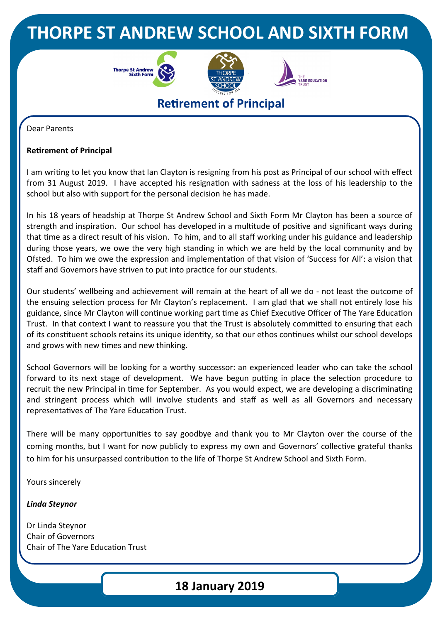## **THORPE ST ANDREW SCHOOL AND SIXTH FORM**







## **Retirement of Principal**

Dear Parents

#### **Retirement of Principal**

I am writing to let you know that Ian Clayton is resigning from his post as Principal of our school with effect from 31 August 2019. I have accepted his resignation with sadness at the loss of his leadership to the school but also with support for the personal decision he has made.

In his 18 years of headship at Thorpe St Andrew School and Sixth Form Mr Clayton has been a source of strength and inspiration. Our school has developed in a multitude of positive and significant ways during that time as a direct result of his vision. To him, and to all staff working under his guidance and leadership during those years, we owe the very high standing in which we are held by the local community and by Ofsted. To him we owe the expression and implementation of that vision of 'Success for All': a vision that staff and Governors have striven to put into practice for our students.

Our students' wellbeing and achievement will remain at the heart of all we do - not least the outcome of the ensuing selection process for Mr Clayton's replacement. I am glad that we shall not entirely lose his guidance, since Mr Clayton will continue working part time as Chief Executive Officer of The Yare Education Trust. In that context I want to reassure you that the Trust is absolutely committed to ensuring that each of its constituent schools retains its unique identity, so that our ethos continues whilst our school develops and grows with new times and new thinking.

School Governors will be looking for a worthy successor: an experienced leader who can take the school forward to its next stage of development. We have begun putting in place the selection procedure to recruit the new Principal in time for September. As you would expect, we are developing a discriminating and stringent process which will involve students and staff as well as all Governors and necessary representatives of The Yare Education Trust.

There will be many opportunities to say goodbye and thank you to Mr Clayton over the course of the coming months, but I want for now publicly to express my own and Governors' collective grateful thanks to him for his unsurpassed contribution to the life of Thorpe St Andrew School and Sixth Form.

Yours sincerely

*Linda Steynor*

Dr Linda Steynor Chair of Governors Chair of The Yare Education Trust

### **18 January 2019**